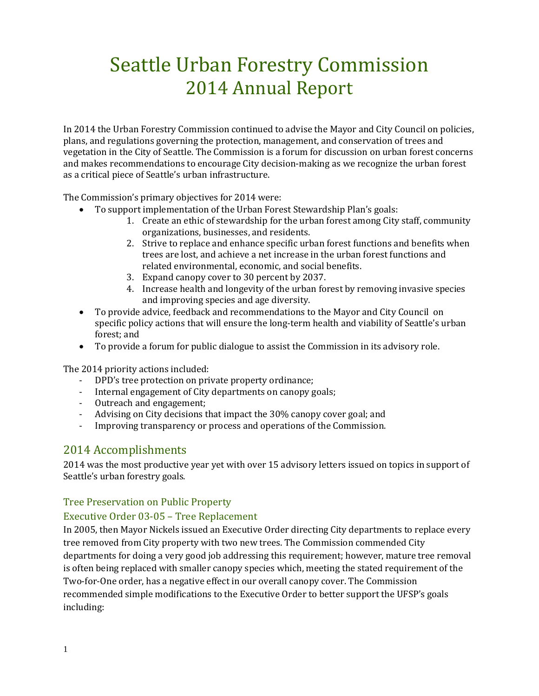# Seattle Urban Forestry Commission 2014 Annual Report

In 2014 the Urban Forestry Commission continued to advise the Mayor and City Council on policies, plans, and regulations governing the protection, management, and conservation of trees and vegetation in the City of Seattle. The Commission is a forum for discussion on urban forest concerns and makes recommendations to encourage City decision-making as we recognize the urban forest as a critical piece of Seattle's urban infrastructure.

The Commission's primary objectives for 2014 were:

- To support implementation of the Urban Forest Stewardship Plan's goals:
	- 1. Create an ethic of stewardship for the urban forest among City staff, community organizations, businesses, and residents.
	- 2. Strive to replace and enhance specific urban forest functions and benefits when trees are lost, and achieve a net increase in the urban forest functions and related environmental, economic, and social benefits.
	- 3. Expand canopy cover to 30 percent by 2037.
	- 4. Increase health and longevity of the urban forest by removing invasive species and improving species and age diversity.
- To provide advice, feedback and recommendations to the Mayor and City Council on specific policy actions that will ensure the long-term health and viability of Seattle's urban forest; and
- To provide a forum for public dialogue to assist the Commission in its advisory role.

The 2014 priority actions included:

- DPD's tree protection on private property ordinance;
- Internal engagement of City departments on canopy goals;
- Outreach and engagement;
- Advising on City decisions that impact the 30% canopy cover goal; and
- Improving transparency or process and operations of the Commission.

# 2014 Accomplishments

2014 was the most productive year yet with over 15 advisory letters issued on topics in support of Seattle's urban forestry goals.

#### Tree Preservation on Public Property

#### Executive Order 03-05 – Tree Replacement

In 2005, then Mayor Nickels issued an Executive Order directing City departments to replace every tree removed from City property with two new trees. The Commission commended City departments for doing a very good job addressing this requirement; however, mature tree removal is often being replaced with smaller canopy species which, meeting the stated requirement of the Two-for-One order, has a negative effect in our overall canopy cover. The Commission recommended simple modifications to the Executive Order to better support the UFSP's goals including: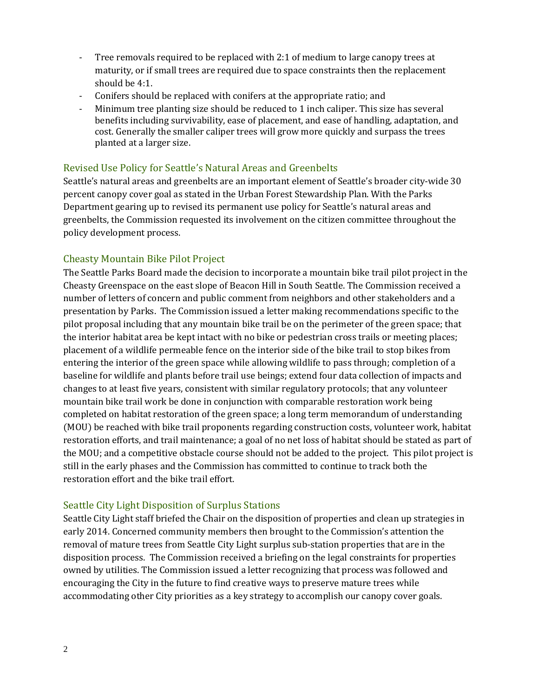- Tree removals required to be replaced with 2:1 of medium to large canopy trees at maturity, or if small trees are required due to space constraints then the replacement should be 4:1.
- Conifers should be replaced with conifers at the appropriate ratio; and
- Minimum tree planting size should be reduced to 1 inch caliper. This size has several benefits including survivability, ease of placement, and ease of handling, adaptation, and cost. Generally the smaller caliper trees will grow more quickly and surpass the trees planted at a larger size.

#### Revised Use Policy for Seattle's Natural Areas and Greenbelts

Seattle's natural areas and greenbelts are an important element of Seattle's broader city-wide 30 percent canopy cover goal as stated in the Urban Forest Stewardship Plan. With the Parks Department gearing up to revised its permanent use policy for Seattle's natural areas and greenbelts, the Commission requested its involvement on the citizen committee throughout the policy development process.

#### Cheasty Mountain Bike Pilot Project

The Seattle Parks Board made the decision to incorporate a mountain bike trail pilot project in the Cheasty Greenspace on the east slope of Beacon Hill in South Seattle. The Commission received a number of letters of concern and public comment from neighbors and other stakeholders and a presentation by Parks. The Commission issued a letter making recommendations specific to the pilot proposal including that any mountain bike trail be on the perimeter of the green space; that the interior habitat area be kept intact with no bike or pedestrian cross trails or meeting places; placement of a wildlife permeable fence on the interior side of the bike trail to stop bikes from entering the interior of the green space while allowing wildlife to pass through; completion of a baseline for wildlife and plants before trail use beings; extend four data collection of impacts and changes to at least five years, consistent with similar regulatory protocols; that any volunteer mountain bike trail work be done in conjunction with comparable restoration work being completed on habitat restoration of the green space; a long term memorandum of understanding (MOU) be reached with bike trail proponents regarding construction costs, volunteer work, habitat restoration efforts, and trail maintenance; a goal of no net loss of habitat should be stated as part of the MOU; and a competitive obstacle course should not be added to the project. This pilot project is still in the early phases and the Commission has committed to continue to track both the restoration effort and the bike trail effort.

#### Seattle City Light Disposition of Surplus Stations

Seattle City Light staff briefed the Chair on the disposition of properties and clean up strategies in early 2014. Concerned community members then brought to the Commission's attention the removal of mature trees from Seattle City Light surplus sub-station properties that are in the disposition process. The Commission received a briefing on the legal constraints for properties owned by utilities. The Commission issued a letter recognizing that process was followed and encouraging the City in the future to find creative ways to preserve mature trees while accommodating other City priorities as a key strategy to accomplish our canopy cover goals.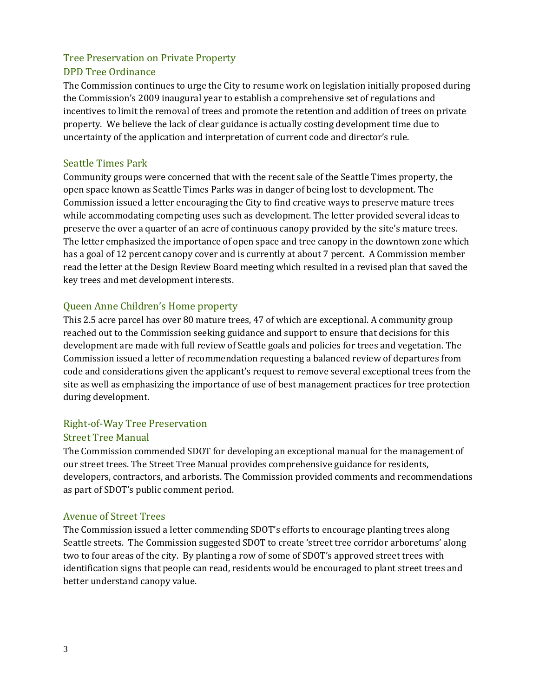#### Tree Preservation on Private Property DPD Tree Ordinance

The Commission continues to urge the City to resume work on legislation initially proposed during the Commission's 2009 inaugural year to establish a comprehensive set of regulations and incentives to limit the removal of trees and promote the retention and addition of trees on private property. We believe the lack of clear guidance is actually costing development time due to uncertainty of the application and interpretation of current code and director's rule.

# Seattle Times Park

Community groups were concerned that with the recent sale of the Seattle Times property, the open space known as Seattle Times Parks was in danger of being lost to development. The Commission issued a letter encouraging the City to find creative ways to preserve mature trees while accommodating competing uses such as development. The letter provided several ideas to preserve the over a quarter of an acre of continuous canopy provided by the site's mature trees. The letter emphasized the importance of open space and tree canopy in the downtown zone which has a goal of 12 percent canopy cover and is currently at about 7 percent. A Commission member read the letter at the Design Review Board meeting which resulted in a revised plan that saved the key trees and met development interests.

# Queen Anne Children's Home property

This 2.5 acre parcel has over 80 mature trees, 47 of which are exceptional. A community group reached out to the Commission seeking guidance and support to ensure that decisions for this development are made with full review of Seattle goals and policies for trees and vegetation. The Commission issued a letter of recommendation requesting a balanced review of departures from code and considerations given the applicant's request to remove several exceptional trees from the site as well as emphasizing the importance of use of best management practices for tree protection during development.

# Right-of-Way Tree Preservation

#### Street Tree Manual

The Commission commended SDOT for developing an exceptional manual for the management of our street trees. The Street Tree Manual provides comprehensive guidance for residents, developers, contractors, and arborists. The Commission provided comments and recommendations as part of SDOT's public comment period.

#### Avenue of Street Trees

The Commission issued a letter commending SDOT's efforts to encourage planting trees along Seattle streets. The Commission suggested SDOT to create 'street tree corridor arboretums' along two to four areas of the city. By planting a row of some of SDOT's approved street trees with identification signs that people can read, residents would be encouraged to plant street trees and better understand canopy value.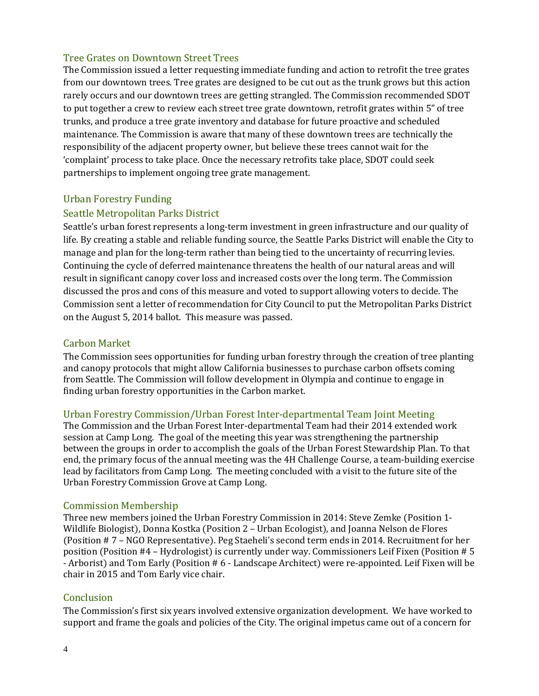# Tree Grates on Downtown Street Trees

The Commission issued a letter requesting immediate funding and action to retrofit the tree grates from our downtown trees. Tree grates are designed to be cut out as the trunk grows but this action rarely occurs and our downtown trees are getting strangled. The Commission recommended SDOT to put together a crew to review each street tree grate downtown, retrofit grates within 5" of tree trunks, and produce a tree grate inventory and database for future proactive and scheduled maintenance. The Commission is aware that many of these downtown trees are technically the responsibility of the adjacent property owner, but believe these trees cannot wait for the 'complaint' process to take place. Once the necessary retrofits take place, SDOT could seek partnerships to implement ongoing tree grate management.

#### Urban Forestry Funding

# Seattle Metropolitan Parks District

Seattle's urban forest represents a long-term investment in green infrastructure and our quality of life. By creating a stable and reliable funding source, the Seattle Parks District will enable the City to manage and plan for the long-term rather than being tied to the uncertainty of recurring levies. Continuing the cycle of deferred maintenance threatens the health of our natural areas and will result in significant canopy cover loss and increased costs over the long term. The Commission discussed the pros and cons of this measure and voted to support allowing voters to decide. The Commission sent a letter of recommendation for City Council to put the Metropolitan Parks District on the August 5, 2014 ballot. This measure was passed.

#### Carbon Market

The Commission sees opportunities for funding urban forestry through the creation of tree planting and canopy protocols that might allow California businesses to purchase carbon offsets coming from Seattle. The Commission will follow development in Olympia and continue to engage in finding urban forestry opportunities in the Carbon market.

#### Urban Forestry Commission/Urban Forest Inter-departmental Team Joint Meeting

The Commission and the Urban Forest Inter-departmental Team had their 2014 extended work session at Camp Long. The goal of the meeting this year was strengthening the partnership between the groups in order to accomplish the goals of the Urban Forest Stewardship Plan. To that end, the primary focus of the annual meeting was the 4H Challenge Course, a team-building exercise lead by facilitators from Camp Long. The meeting concluded with a visit to the future site of the Urban Forestry Commission Grove at Camp Long.

#### Commission Membership

Three new members joined the Urban Forestry Commission in 2014: Steve Zemke (Position 1- Wildlife Biologist), Donna Kostka (Position 2 – Urban Ecologist), and Joanna Nelson de Flores (Position # 7 – NGO Representative). Peg Staeheli's second term ends in 2014. Recruitment for her position (Position #4 – Hydrologist) is currently under way. Commissioners Leif Fixen (Position # 5 - Arborist) and Tom Early (Position # 6 - Landscape Architect) were re-appointed. Leif Fixen will be chair in 2015 and Tom Early vice chair.

#### **Conclusion**

The Commission's first six years involved extensive organization development. We have worked to support and frame the goals and policies of the City. The original impetus came out of a concern for